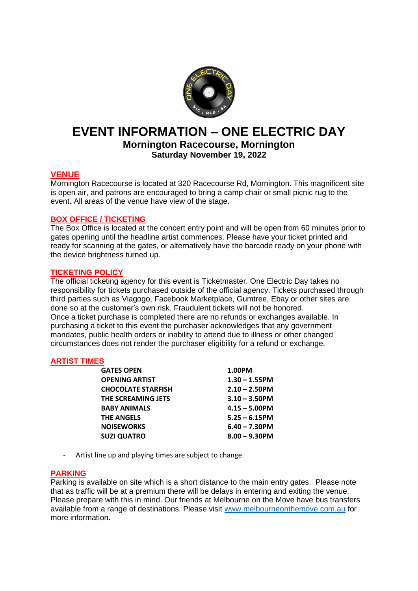

# **EVENT INFORMATION – ONE ELECTRIC DAY**

**Mornington Racecourse, Mornington Saturday November 19, 2022**

# **VENUE**

Mornington Racecourse is located at 320 Racecourse Rd, Mornington. This magnificent site is open air, and patrons are encouraged to bring a camp chair or small picnic rug to the event. All areas of the venue have view of the stage.

# **BOX OFFICE / TICKETING**

The Box Office is located at the concert entry point and will be open from 60 minutes prior to gates opening until the headline artist commences. Please have your ticket printed and ready for scanning at the gates, or alternatively have the barcode ready on your phone with the device brightness turned up.

# **TICKETING POLICY**

The official ticketing agency for this event is Ticketmaster. One Electric Day takes no responsibility for tickets purchased outside of the official agency. Tickets purchased through third parties such as Viagogo, Facebook Marketplace, Gumtree, Ebay or other sites are done so at the customer's own risk. Fraudulent tickets will not be honored. Once a ticket purchase is completed there are no refunds or exchanges available. In purchasing a ticket to this event the purchaser acknowledges that any government mandates, public health orders or inability to attend due to illness or other changed circumstances does not render the purchaser eligibility for a refund or exchange.

# **ARTIST TIMES**

| <b>GATES OPEN</b>         | 1.00PM           |
|---------------------------|------------------|
| <b>OPENING ARTIST</b>     | $1.30 - 1.55$ PM |
| <b>CHOCOLATE STARFISH</b> | $2.10 - 2.50$ PM |
| THE SCREAMING JETS        | $3.10 - 3.50$ PM |
| <b>BABY ANIMALS</b>       | $4.15 - 5.00$ PM |
| <b>THE ANGELS</b>         | $5.25 - 6.15$ PM |
| <b>NOISEWORKS</b>         | $6.40 - 7.30$ PM |
| <b>SUZI QUATRO</b>        | $8.00 - 9.30$ PM |
|                           |                  |

- Artist line up and playing times are subject to change.

#### **PARKING**

Parking is available on site which is a short distance to the main entry gates. Please note that as traffic will be at a premium there will be delays in entering and exiting the venue. Please prepare with this in mind. Our friends at Melbourne on the Move have bus transfers available from a range of destinations. Please visit [www.melbourneonthemove.com.au](http://www.melbourneonthemove.com.au/) for more information.